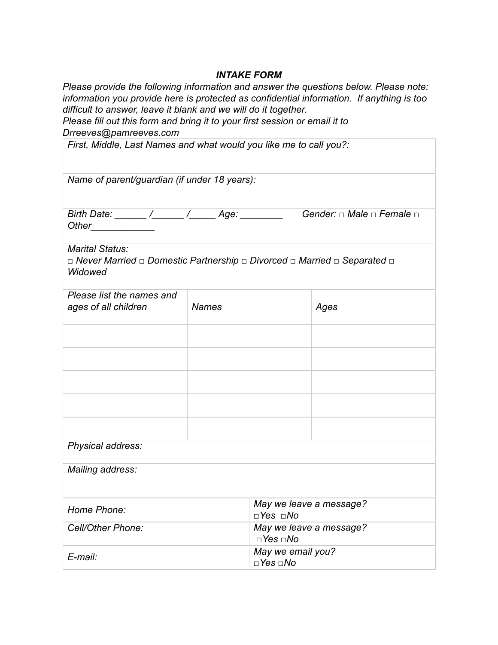#### *INTAKE FORM*

*Please provide the following information and answer the questions below. Please note: information you provide here is protected as confidential information. If anything is too difficult to answer, leave it blank and we will do it together.*

*Please fill out this form and bring it to your first session or email it to Drreeves@pamreeves.com* 

| First, Middle, Last Names and what would you like me to call you?:                                                  |              |                                     |                         |  |
|---------------------------------------------------------------------------------------------------------------------|--------------|-------------------------------------|-------------------------|--|
| Name of parent/guardian (if under 18 years):                                                                        |              |                                     |                         |  |
| Gender: $\Box$ Male $\Box$ Female $\Box$<br>Birth Date: ______ /______ /______ Age: ________<br>Other______________ |              |                                     |                         |  |
| Marital Status:<br>□ Never Married □ Domestic Partnership □ Divorced □ Married □ Separated □<br>Widowed             |              |                                     |                         |  |
| Please list the names and<br>ages of all children                                                                   | <b>Names</b> |                                     | Ages                    |  |
|                                                                                                                     |              |                                     |                         |  |
|                                                                                                                     |              |                                     |                         |  |
|                                                                                                                     |              |                                     |                         |  |
|                                                                                                                     |              |                                     |                         |  |
|                                                                                                                     |              |                                     |                         |  |
| Physical address:                                                                                                   |              |                                     |                         |  |
| Mailing address:                                                                                                    |              |                                     |                         |  |
| Home Phone:                                                                                                         |              | May we leave a message?<br>□Yes □No |                         |  |
| Cell/Other Phone:                                                                                                   |              | $\Box$ Yes $\Box$ No                | May we leave a message? |  |
| E-mail:                                                                                                             |              | May we email you?<br>□ Yes □ No     |                         |  |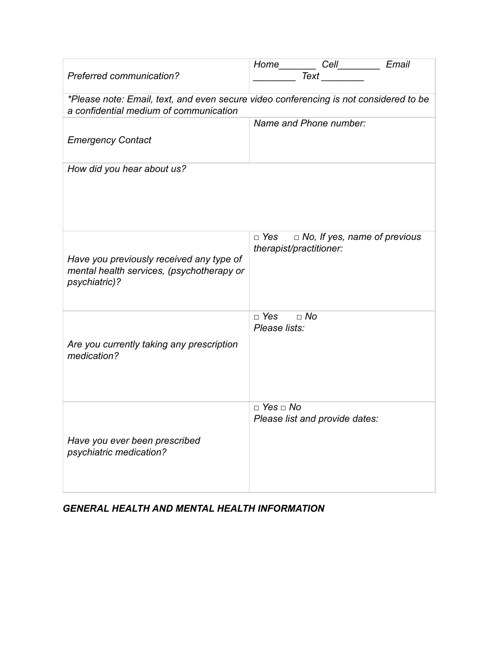| <b>Preferred communication?</b>                                                                                                 | Home Cell___________ Email<br><b>Text</b>                                 |  |  |
|---------------------------------------------------------------------------------------------------------------------------------|---------------------------------------------------------------------------|--|--|
| *Please note: Email, text, and even secure video conferencing is not considered to be<br>a confidential medium of communication |                                                                           |  |  |
| <b>Emergency Contact</b>                                                                                                        | Name and Phone number:                                                    |  |  |
| How did you hear about us?                                                                                                      |                                                                           |  |  |
| Have you previously received any type of<br>mental health services, (psychotherapy or<br>psychiatric)?                          | $\Box$ Yes $\Box$ No, If yes, name of previous<br>therapist/practitioner: |  |  |
| Are you currently taking any prescription<br>medication?                                                                        | $\Box$ No<br>□ Yes<br>Please lists:                                       |  |  |
| Have you ever been prescribed<br>psychiatric medication?                                                                        | $\Box$ Yes $\Box$ No<br>Please list and provide dates:                    |  |  |

### *GENERAL HEALTH AND MENTAL HEALTH INFORMATION*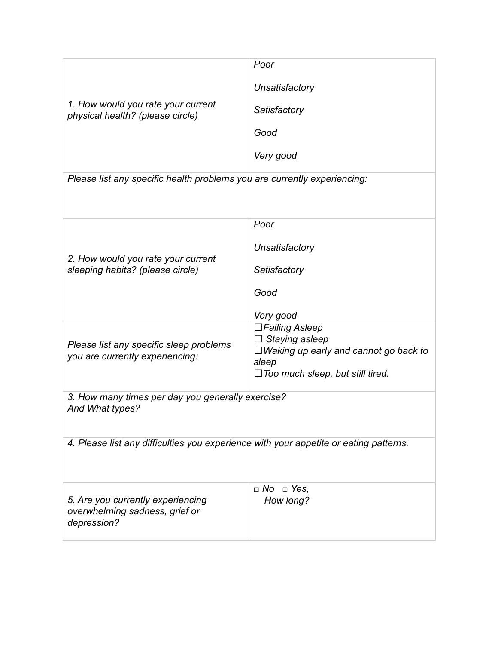| 1. How would you rate your current<br>physical health? (please circle)                | Poor                                              |  |
|---------------------------------------------------------------------------------------|---------------------------------------------------|--|
|                                                                                       | Unsatisfactory                                    |  |
|                                                                                       | Satisfactory                                      |  |
|                                                                                       | Good                                              |  |
|                                                                                       | Very good                                         |  |
| Please list any specific health problems you are currently experiencing:              |                                                   |  |
|                                                                                       |                                                   |  |
|                                                                                       | Poor                                              |  |
|                                                                                       | Unsatisfactory                                    |  |
| 2. How would you rate your current<br>sleeping habits? (please circle)                | Satisfactory                                      |  |
|                                                                                       | Good                                              |  |
|                                                                                       | Very good                                         |  |
| Please list any specific sleep problems<br>you are currently experiencing:            | $\square$ Falling Asleep<br>$\Box$ Staying asleep |  |
|                                                                                       | $\Box$ Waking up early and cannot go back to      |  |
|                                                                                       | sleep<br>$\Box$ Too much sleep, but still tired.  |  |
| 3. How many times per day you generally exercise?                                     |                                                   |  |
| And What types?                                                                       |                                                   |  |
| 4. Please list any difficulties you experience with your appetite or eating patterns. |                                                   |  |
|                                                                                       |                                                   |  |
|                                                                                       | $\Box$ No $\Box$ Yes,                             |  |
| 5. Are you currently experiencing<br>overwhelming sadness, grief or<br>depression?    | How long?                                         |  |
|                                                                                       |                                                   |  |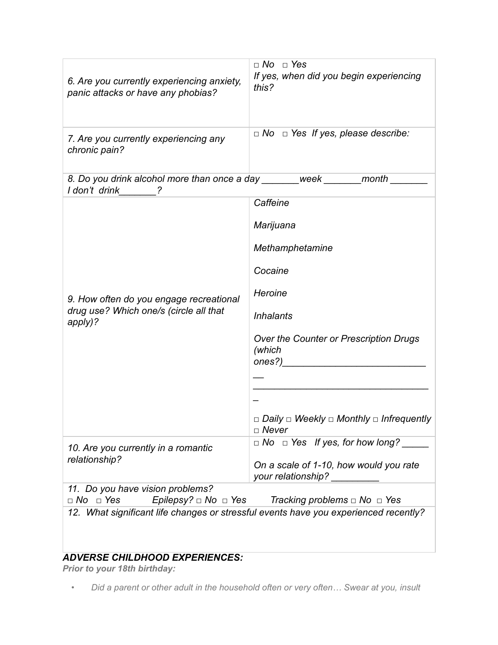| 6. Are you currently experiencing anxiety,<br>panic attacks or have any phobias?                                                                                 | $\Box$ No $\Box$ Yes<br>If yes, when did you begin experiencing<br>this?      |  |  |
|------------------------------------------------------------------------------------------------------------------------------------------------------------------|-------------------------------------------------------------------------------|--|--|
| 7. Are you currently experiencing any<br>chronic pain?                                                                                                           | $\Box$ No $\Box$ Yes If yes, please describe:                                 |  |  |
| 8. Do you drink alcohol more than once a day _______ week _______ month ___<br>I don't drink ?                                                                   |                                                                               |  |  |
|                                                                                                                                                                  | Caffeine                                                                      |  |  |
|                                                                                                                                                                  | Marijuana                                                                     |  |  |
|                                                                                                                                                                  | Methamphetamine                                                               |  |  |
|                                                                                                                                                                  | Cocaine                                                                       |  |  |
| 9. How often do you engage recreational                                                                                                                          | Heroine                                                                       |  |  |
| drug use? Which one/s (circle all that<br>apply)?                                                                                                                | <b>Inhalants</b>                                                              |  |  |
|                                                                                                                                                                  | Over the Counter or Prescription Drugs<br>(which                              |  |  |
|                                                                                                                                                                  |                                                                               |  |  |
|                                                                                                                                                                  |                                                                               |  |  |
|                                                                                                                                                                  | $\Box$ Daily $\Box$ Weekly $\Box$ Monthly $\Box$ Infrequently<br>$\Box$ Never |  |  |
| 10. Are you currently in a romantic                                                                                                                              | $\Box$ No $\Box$ Yes If yes, for how long?                                    |  |  |
| relationship?                                                                                                                                                    | On a scale of 1-10, how would you rate<br>your relationship? __________       |  |  |
| 11. Do you have vision problems?<br>$\Box$ No $\Box$ Yes                                                                                                         |                                                                               |  |  |
| Epilepsy? $\Box$ No $\Box$ Yes<br>Tracking problems $\Box$ No $\Box$ Yes<br>12. What significant life changes or stressful events have you experienced recently? |                                                                               |  |  |
|                                                                                                                                                                  |                                                                               |  |  |

## *ADVERSE CHILDHOOD EXPERIENCES:*

*Prior to your 18th birthday:*

*• Did a parent or other adult in the household often or very often… Swear at you, insult*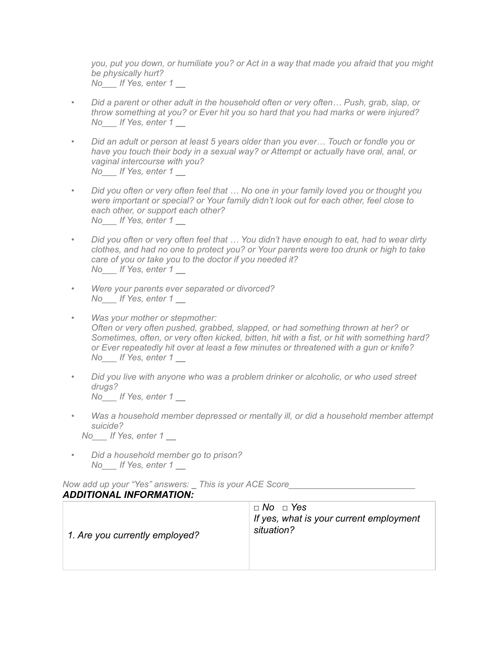*you, put you down, or humiliate you? or Act in a way that made you afraid that you might be physically hurt? No\_\_\_ If Yes, enter 1 \_\_*

- *Did a parent or other adult in the household often or very often… Push, grab, slap, or throw something at you? or Ever hit you so hard that you had marks or were injured? No\_\_\_ If Yes, enter 1 \_\_*
- *Did an adult or person at least 5 years older than you ever… Touch or fondle you or have you touch their body in a sexual way? or Attempt or actually have oral, anal, or vaginal intercourse with you? No\_\_\_ If Yes, enter 1 \_\_*
- *Did you often or very often feel that … No one in your family loved you or thought you were important or special? or Your family didn't look out for each other, feel close to each other, or support each other? No\_\_\_ If Yes, enter 1 \_\_*
- *Did you often or very often feel that … You didn't have enough to eat, had to wear dirty clothes, and had no one to protect you? or Your parents were too drunk or high to take care of you or take you to the doctor if you needed it? No\_\_\_ If Yes, enter 1 \_\_*
- *Were your parents ever separated or divorced? No\_\_\_ If Yes, enter 1 \_\_*
- *Was your mother or stepmother: Often or very often pushed, grabbed, slapped, or had something thrown at her? or Sometimes, often, or very often kicked, bitten, hit with a fist, or hit with something hard? or Ever repeatedly hit over at least a few minutes or threatened with a gun or knife? No\_\_\_ If Yes, enter 1 \_\_*
- *Did you live with anyone who was a problem drinker or alcoholic, or who used street drugs? No\_\_\_ If Yes, enter 1 \_\_*
- *Was a household member depressed or mentally ill, or did a household member attempt suicide? No\_\_\_ If Yes, enter 1 \_\_*
	-
- *Did a household member go to prison? No\_\_\_ If Yes, enter 1 \_\_*

*Now add up your "Yes" answers: \_ This is your ACE Score\_\_\_\_\_\_\_\_\_\_\_\_\_\_\_\_\_\_\_\_\_\_\_\_\_\_ ADDITIONAL INFORMATION:*

| 1. Are you currently employed? | $\Box$ No $\Box$ Yes<br>If yes, what is your current employment<br>situation? |
|--------------------------------|-------------------------------------------------------------------------------|
|                                |                                                                               |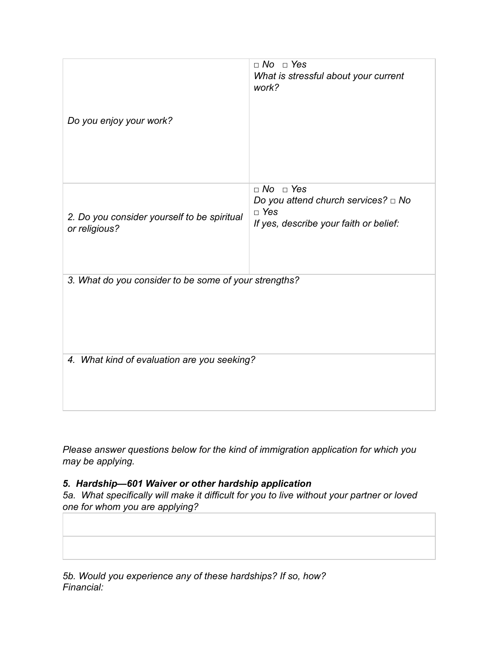| Do you enjoy your work?                                      | $\Box$ No $\Box$ Yes<br>What is stressful about your current<br>work?                                                    |  |
|--------------------------------------------------------------|--------------------------------------------------------------------------------------------------------------------------|--|
| 2. Do you consider yourself to be spiritual<br>or religious? | $\Box$ No $\Box$ Yes<br>Do you attend church services? $\Box$ No<br>$\Box$ Yes<br>If yes, describe your faith or belief: |  |
| 3. What do you consider to be some of your strengths?        |                                                                                                                          |  |
| 4. What kind of evaluation are you seeking?                  |                                                                                                                          |  |

*Please answer questions below for the kind of immigration application for which you may be applying.*

#### *5. Hardship—601 Waiver or other hardship application*

*5a. What specifically will make it difficult for you to live without your partner or loved one for whom you are applying?*

*5b. Would you experience any of these hardships? If so, how? Financial:*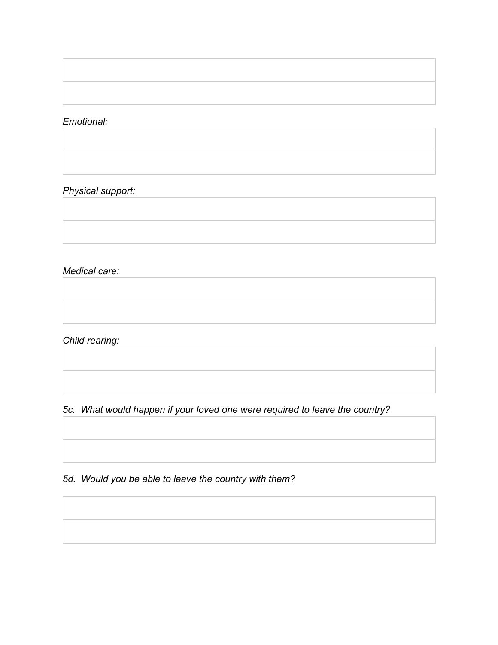#### *Emotional:*

## *Physical support:*

# *Medical care:*

*Child rearing:* 

*5c. What would happen if your loved one were required to leave the country?*

*5d. Would you be able to leave the country with them?*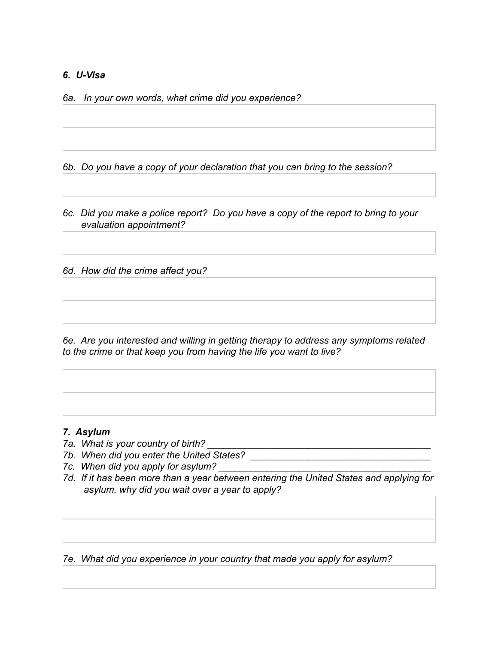### *6. U-Visa*

*6a. In your own words, what crime did you experience?*

*6b. Do you have a copy of your declaration that you can bring to the session?*

*6c. Did you make a police report? Do you have a copy of the report to bring to your evaluation appointment?*

*6d. How did the crime affect you?*

*6e. Are you interested and willing in getting therapy to address any symptoms related to the crime or that keep you from having the life you want to live?*

#### *7. Asylum*

- *7a. What is your country of birth?*
- *7b. When did you enter the United States? \_\_\_\_\_\_\_\_\_\_\_\_\_\_\_\_\_\_\_\_\_\_\_\_\_\_\_\_\_\_\_\_\_\_*
- *7c. When did you apply for asylum?*
- *7d. If it has been more than a year between entering the United States and applying for asylum, why did you wait over a year to apply?*

*7e. What did you experience in your country that made you apply for asylum?*